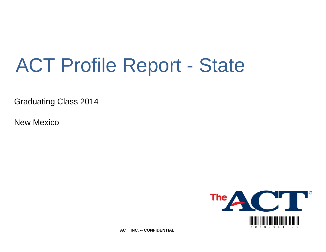# ACT Profile Report - State

Graduating Class 2014

New Mexico



**ACT, INC. -- CONFIDENTIAL**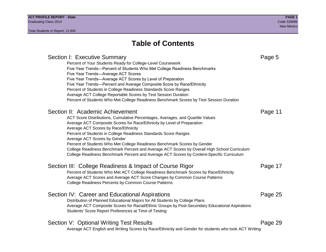# **Table of Contents**

### Section I: Executive Summary **Page 5** and the section I: Executive Summary Percent of Your Students Ready for College-Level Coursework Five Year Trends—Percent of Students Who Met College Readiness Benchmarks Five Year Trends—Average ACT Scores Five Year Trends—Average ACT Scores by Level of Preparation Five Year Trends—Percent and Average Composite Score by Race/Ethnicity Percent of Students in College Readiness Standards Score Ranges Average ACT College Reportable Scores by Test Session Duration Percent of Students Who Met College Readiness Benchmark Scores by Test Session Duration Section II: Academic Achievement **Page 11** Page 11 ACT Score Distributions, Cumulative Percentages, Averages, and Quartile Values Average ACT Composite Scores for Race/Ethnicity by Level of Preparation Average ACT Scores by Race/Ethnicity Percent of Students in College Readiness Standards Score Ranges Average ACT Scores by Gender Percent of Students Who Met College Readiness Benchmark Scores by Gender College Readiness Benchmark Percent and Average ACT Scores by Overall High School Curriculum College Readiness Benchmark Percent and Average ACT Scores by Content-Specific Curriculum Section III: College Readiness & Impact of Course Rigor Page 17 Percent of Students Who Met ACT College Readiness Benchmark Scores by Race/Ethnicity Average ACT Scores and Average ACT Score Changes by Common Course Patterns College Readiness Percents by Common Course Patterns Section IV: Career and Educational Aspirations **Page 25** Page 25 Distribution of Planned Educational Majors for All Students by College Plans Average ACT Composite Scores for Racial/Ethnic Groups by Post-Secondary Educational Aspirations Students' Score Report Preferences at Time of Testing Section V: Optional Writing Test Results **Page 29** Page 29 Average ACT English and Writing Scores by Race/Ethnicity and Gender for students who took ACT Writing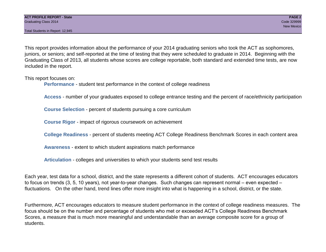Total Students in Report: 12,945

This report provides information about the performance of your 2014 graduating seniors who took the ACT as sophomores, juniors, or seniors; and self-reported at the time of testing that they were scheduled to graduate in 2014. Beginning with the Graduating Class of 2013, all students whose scores are college reportable, both standard and extended time tests, are now included in the report.

This report focuses on:

**Performance** - student test performance in the context of college readiness

**Access** - number of your graduates exposed to college entrance testing and the percent of race/ethnicity participation

**Course Selection** - percent of students pursuing a core curriculum

**Course Rigor** - impact of rigorous coursework on achievement

**College Readiness** - percent of students meeting ACT College Readiness Benchmark Scores in each content area

**Awareness** - extent to which student aspirations match performance

**Articulation** - colleges and universities to which your students send test results

Each year, test data for a school, district, and the state represents a different cohort of students. ACT encourages educators to focus on trends (3, 5, 10 years), not year-to-year changes. Such changes can represent normal – even expected – fluctuations. On the other hand, trend lines offer more insight into what is happening in a school, district, or the state.

Furthermore, ACT encourages educators to measure student performance in the context of college readiness measures. The focus should be on the number and percentage of students who met or exceeded ACT's College Readiness Benchmark Scores, a measure that is much more meaningful and understandable than an average composite score for a group of students.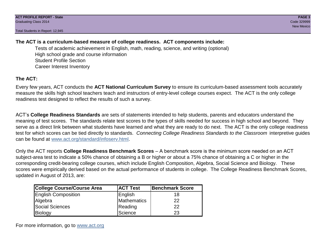Total Students in Report: 12,945

### **The ACT is a curriculum-based measure of college readiness. ACT components include:**

Tests of academic achievement in English, math, reading, science, and writing (optional) High school grade and course information Student Profile Section Career Interest Inventory

### **The ACT:**

Every few years, ACT conducts the **ACT National Curriculum Survey** to ensure its curriculum-based assessment tools accurately measure the skills high school teachers teach and instructors of entry-level college courses expect. The ACT is the only college readiness test designed to reflect the results of such a survey.

ACT's **College Readiness Standards** are sets of statements intended to help students, parents and educators understand the meaning of test scores. The standards relate test scores to the types of skills needed for success in high school and beyond. They serve as a direct link between what students have learned and what they are ready to do next. The ACT is the only college readiness test for which scores can be tied directly to standards. *Connecting College Readiness Standards to the Classroom* interpretive guides can be found at www.act.org/standard/infoserv.html.

Only the ACT reports **College Readiness Benchmark Scores** – A benchmark score is the minimum score needed on an ACT subject-area test to indicate a 50% chance of obtaining a B or higher or about a 75% chance of obtaining a C or higher in the corresponding credit-bearing college courses, which include English Composition, Algebra, Social Science and Biology. These scores were empirically derived based on the actual performance of students in college. The College Readiness Benchmark Scores, updated in August of 2013, are:

| College Course/Course Area | <b>ACT Test</b> | <b>Benchmark Score</b> |
|----------------------------|-----------------|------------------------|
| <b>English Composition</b> | English         | 18                     |
| Algebra                    | Mathematics     | 22                     |
| <b>Social Sciences</b>     | Reading         | 22                     |
| Biology                    | Science         | 23                     |

For more information, go to www.act.org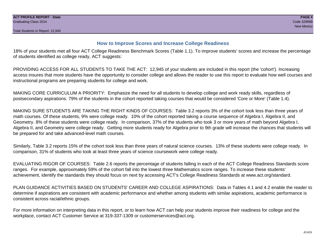### **How to Improve Scores and Increase College Readiness**

18% of your students met all four ACT College Readiness Benchmark Scores (Table 1.1). To improve students' scores and increase the percentage of students identified as college ready, ACT suggests:

PROVIDING ACCESS FOR ALL STUDENTS TO TAKE THE ACT: 12,945 of your students are included in this report (the 'cohort'). Increasing access insures that more students have the opportunity to consider college and allows the reader to use this report to evaluate how well courses and instructional programs are preparing students for college and work.

MAKING CORE CURRICULUM A PRIORITY: Emphasize the need for all students to develop college and work ready skills, regardless of postsecondary aspirations. 79% of the students in the cohort reported taking courses that would be considered 'Core or More' (Table 1.4).

MAKING SURE STUDENTS ARE TAKING THE RIGHT KINDS OF COURSES: Table 3.2 reports 3% of the cohort took less than three years of math courses. Of these students, 9% were college ready. 10% of the cohort reported taking a course sequence of Algebra I, Algebra II, and Geometry. 8% of these students were college ready. In comparison, 37% of the students who took 3 or more years of math beyond Algebra I, Algebra II, and Geometry were college ready. Getting more students ready for Algebra prior to 9th grade will increase the chances that students will be prepared for and take advanced-level math courses.

Similarly, Table 3.2 reports 15% of the cohort took less than three years of natural science courses. 13% of these students were college ready. In comparison, 31% of students who took at least three years of science coursework were college ready.

EVALUATING RIGOR OF COURSES: Table 2.6 reports the percentage of students falling in each of the ACT College Readiness Standards score ranges. For example, approximately 59% of the cohort fall into the lowest three Mathematics score ranges. To increase these students' achievement, identify the standards they should focus on next by accessing ACT's College Readiness Standards at www.act.org/standard.

PLAN GUIDANCE ACTIVITIES BASED ON STUDENTS' CAREER AND COLLEGE ASPIRATIONS: Data in Tables 4.1 and 4.2 enable the reader to determine if aspirations are consistent with academic performance and whether among students with similar aspirations, academic performance is consistent across racial/ethnic groups.

For more information on interpreting data in this report, or to learn how ACT can help your students improve their readiness for college and the workplace, contact ACT Customer Service at 319-337-1309 or customerservices@act.org.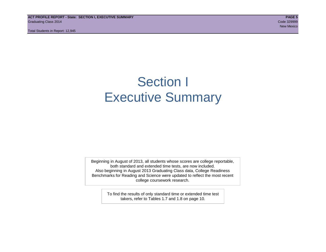**ACT PROFILE REPORT - State: SECTION I, EXECUTIVE SUMMARY PAGE 5** Graduating Class 2014 Code 329999

Total Students in Report: 12,945

New Mexico and the contract of the contract of the contract of the contract of the contract of the contract of

# Section I Executive Summary

Beginning in August of 2013, all students whose scores are college reportable, both standard and extended time tests, are now included. Also beginning in August 2013 Graduating Class data, College Readiness Benchmarks for Reading and Science were updated to reflect the most recent college coursework research.

> To find the results of only standard time or extended time test takers, refer to Tables 1.7 and 1.8 on page 10.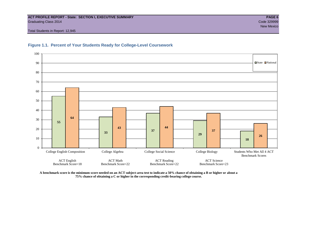#### **ACT PROFILE REPORT - State: SECTION I, EXECUTIVE SUMMARY PAGE 6** Graduating Class 2014 Code 329999

New Mexico and the contract of the contract of the contract of the contract of the contract of the contract of

Total Students in Report: 12,945





**A benchmark score is the minimum score needed on an ACT subject-area test to indicate a 50% chance of obtaining a B or higher or about a 75% chance of obtaining a C or higher in the corresponding credit-bearing college course.**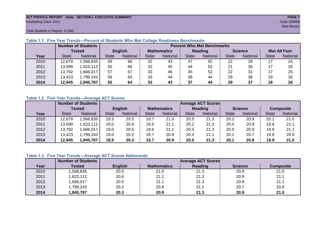#### **ACT PROFILE REPORT - State: SECTION I, EXECUTIVE SUMMARY PAGE 7** Graduating Class 2014 Code 329999

Total Students in Report: 12,945

|      |               | <b>Number of Students</b> |                | <b>Percent Who Met Benchmarks</b> |                    |          |              |          |                |          |                     |          |  |
|------|---------------|---------------------------|----------------|-----------------------------------|--------------------|----------|--------------|----------|----------------|----------|---------------------|----------|--|
|      | <b>Tested</b> |                           | <b>English</b> |                                   | <b>Mathematics</b> |          | Reading      |          | <b>Science</b> |          | <b>Met All Four</b> |          |  |
| Year | <b>State</b>  | <b>National</b>           | <b>State</b>   | National                          |                    | National | <b>State</b> | National |                | National | <b>State</b>        | National |  |
| 2010 | 12.679        | ,568,835                  | 59             | 66                                | 32                 | 43       | 47           | 52       | 22             | 29       |                     | 24       |  |
| 2011 | 13,599        | 1,623,112                 | 55             | 66                                | 32                 | 45       | 44           | 52       | 21             | 30       |                     | 25       |  |
| 2012 | 13,792        | 1,666,017                 | 57             | 67                                | 33                 | 46       | 45           | 52       | 22             | 31       |                     | 25       |  |
| 2013 | 13,423        | 1,799,243                 | 56             | 64                                | 33                 | 44       | 38           | 44       | 29             | 36       | 19                  | 26       |  |
| 2014 | 12,945        | 1,845,787                 | 55             | 64                                | 33                 | 43       | 37           | 44       | 29             | 37       | 18                  | 26       |  |

#### **Table 1.1. Five Year Trends—Percent of Students Who Met College Readiness Benchmarks**

#### **Table 1.2. Five Year Trends—Average ACT Scores**

|      |              | <b>Number of Students</b> |              |                | <b>Average ACT Scores</b> |                 |                |                 |                |          |                  |          |  |
|------|--------------|---------------------------|--------------|----------------|---------------------------|-----------------|----------------|-----------------|----------------|----------|------------------|----------|--|
|      |              | Tested                    |              | <b>English</b> | <b>Mathematics</b>        |                 | <b>Reading</b> |                 | <b>Science</b> |          | <b>Composite</b> |          |  |
| Year | <b>State</b> | <b>National</b>           | <b>State</b> | National       |                           | <b>National</b> | State          | <b>National</b> |                | National | <b>State</b>     | National |  |
| 2010 | 12.679       | .568.835                  | 19.3         | 20.5           | 19.7                      | 21.0            | 20.5           | 21.3            | 20.2           | 20.9     | 20.1             | 21.0     |  |
| 2011 | 13,599       | ,623,112                  | 19.0         | 20.6           | 19.5                      | 21.1            | 20.2           | 21.3            | 20.0           | 20.9     | 19.8             | 21.1     |  |
| 2012 | 13,792       | .666,017                  | 19.0         | 20.5           | 19.6                      | 21.1            | 20.3           | 21.3            | 20.0           | 20.9     | 19.9             | 21.1     |  |
| 2013 | 13,423       | .799.243                  | 19.0         | 20.2           | 19.7                      | 20.9            | 20.4           | 21.1            | 20.1           | 20.7     | 19.9             | 20.9     |  |
| 2014 | 12,945       | ,845,787                  | 18.9         | 20.3           |                           | 20.9            | 20.5<br>21.3   |                 | 20.1           | 20.8     | 19.9             | 21.0     |  |

#### **Table 1.3. Five Year Trends—Average ACT Scores Nationwide**

|      | <b>Number of Students</b> |                | <b>Average ACT Scores</b> |         |                |                  |  |  |  |  |  |  |  |
|------|---------------------------|----------------|---------------------------|---------|----------------|------------------|--|--|--|--|--|--|--|
| Year | Tested                    | <b>English</b> | <b>Mathematics</b>        | Reading | <b>Science</b> | <b>Composite</b> |  |  |  |  |  |  |  |
| 2010 | ,568,835                  | 20.5           | 21.0                      | 21.3    | 20.9           | 21.0             |  |  |  |  |  |  |  |
| 2011 | ,623,112                  | 20.6           | 21.1                      | 21.3    | 20.9           | 21.1             |  |  |  |  |  |  |  |
| 2012 | ,666,017                  | 20.5           | 21.1                      | 21.3    | 20.9           | 21.1             |  |  |  |  |  |  |  |
| 2013 | 1,799,243                 | 20.2           | 20.9                      | 21.1    | 20.7           | 20.9             |  |  |  |  |  |  |  |
| 2014 | 845,787                   | 20.3           | 20.9                      | 21.3    | 20.8           | 21.0             |  |  |  |  |  |  |  |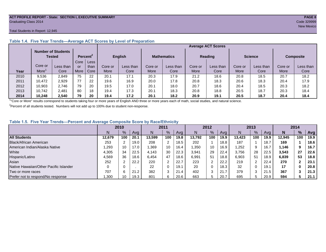#### **ACT PROFILE REPORT - State: SECTION I, EXECUTIVE SUMMARY PAGE 8 Graduating Class 2014** Code 329999 Code 329999

#### Total Students in Report: 12,945

|      |                   | <b>Number of Students</b><br><b>Tested</b> |      | Percent <sup>2</sup> |         | <b>English</b> |         | <b>Mathematics</b> |         | <b>Reading</b> | <b>Science</b> |           | Composite |           |
|------|-------------------|--------------------------------------------|------|----------------------|---------|----------------|---------|--------------------|---------|----------------|----------------|-----------|-----------|-----------|
|      |                   |                                            | Core | <b>Less</b>          |         |                |         |                    |         |                |                |           |           |           |
|      | Core or           | Less than                                  | or   | than                 | Core or | Less than      | Core or | Less than          | Core or | Less than      | Core or        | Less than | Core or   | Less than |
| Year | More <sup>1</sup> | Core                                       | More | Core                 | More    | Core           | More    | Core               | More    | Core           | <b>More</b>    | Core      | More      | Core      |
| 2010 | 9,536             | 2,849                                      | 75   | 22                   | 20.1    | 17.1           | 20.3    | 17.9               | 21.2    | 18.6           | 20.8           | 18.5      | 20.7      | 18.2      |
| 2011 | 10.472            | 2,929                                      | 77   | 22                   | 19.6    | 16.9           | 20.0    | 17.8               | 20.8    | 18.3           | 20.6           | 18.3      | 20.4      | 17.9      |
| 2012 | 10.903            | 2,746                                      | 79   | 20                   | 19.5    | 17.0           | 20.1    | 18.0               | 20.7    | 18.6           | 20.4           | 18.5      | 20.3      | 18.2      |
| 2013 | 10.742            | 2.481                                      | 80   | 18                   | 19.4    | 17.3           | 20.1    | 18.3               | 20.8    | 18.8           | 20.5           | 18.7      | 20.3      | 18.4      |
| 2014 | 10.248            | 2,540                                      | 79   | 20                   | 19.4    | 17.2           | 20.1    | 18.2               | 20.9    | 19.1           | 20.5           | 18.7      | 20.4      | 18.4      |

#### **Table 1.4. Five Year Trends—Average ACT Scores by Level of Preparation**

<sup>1</sup>"Core or More" results correspond to students taking four or more years of English AND three or more years each of math, social studies, and natural science.

 $2$ Percent of all students tested. Numbers will not add up to 100% due to student non-response.

#### **Table 1.5. Five Year Trends—Percent and Average Composite Score by Race/Ethnicity**

|                                        |        | 2010            |      |        | 2011 |      | 2012   |     |      | 2013   |     |      | 2014   |     |      |
|----------------------------------------|--------|-----------------|------|--------|------|------|--------|-----|------|--------|-----|------|--------|-----|------|
|                                        | N      | %               | Ava  | N      | %    | Avg  | N      | %   | Avg  | N      | %   | Ava  | N      | %   | Avg  |
| <b>All Students</b>                    | 12.679 | 100             | 20.1 | 13,599 | 100  | 19.8 | 13.792 | 100 | 19.9 | 13.423 | 100 | 19.9 | 12.945 | 100 | 19.9 |
| <b>Black/African American</b>          | 253    | າ               | 19.0 | 208    |      | 18.5 | 202    |     | 18.8 | 187    |     | 18.7 | 169    |     | 18.6 |
| American Indian/Alaska Native          | .293   | 10              | 17.0 | .369   | 10   | 16.4 | ,350   | 10  | 16.9 | ,252   | 9   | 16.7 | 1.146  |     | 16.7 |
| White                                  | 4,305  | 34              | 22.5 | 4,143  | 30   | 22.3 | 3,941  | 29  | 22.4 | 3,756  | 28  | 22.5 | 3,543  | 27  | 22.6 |
| Hispanic/Latino                        | 4,569  | 36              | 18.6 | 6,454  | 47   | 18.6 | 6,991  | 51  | 18.8 | 6.903  | 51  | 18.9 | 6.839  | 53  | 18.8 |
| Asian                                  | 252    | C               | 22.2 | 220    |      | 22.7 | 223    | ົ   | 22.2 | 219    | റ   | 22.4 | 270    |     | 23.1 |
| Native Hawaiian/Other Pacific Islander | 0      |                 |      | 22     |      | 19.1 | 20     |     | 18.3 | 32     |     | 19.7 | 17     |     | 20.8 |
| Two or more races                      | 707    | 6               | 21.2 | 382    |      | 21.4 | 402    |     | 21.7 | 379    | 3   | 21.5 | 367    |     | 21.3 |
| Prefer not to respond/No response      | ,300   | 10 <sup>°</sup> | 19.3 | 801    |      | 20.6 | 663    | 5   | 20.7 | 695    | h   | 20.9 | 594    |     | 21.1 |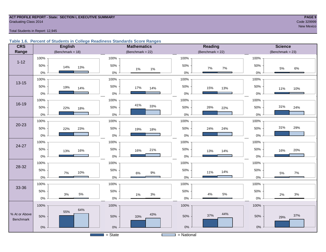#### **ACT PROFILE REPORT - State: SECTION I, EXECUTIVE SUMMARY PAGE 9** Code 329999 Craduating Class 2014 Code 329999 Code 329999 Code 329999 Code 329999 Code 329999 Code 329999 Code 329999 Code 329999 Code 329999 Code 329999 Code 329999 Code 329999 Code 329999 Code 329999 Code 329999 Code 329

new Mexico in the control of the control of the control of the control of the control of the Mexico in the Mexico

#### Total Students in Report: 12,945

#### **Table 1.6. Percent of Students in College Readiness Standards Score Ranges**

| <b>CRS</b>                 | <b>English</b>         | <b>Mathematics</b>     | <b>Reading</b>          | <b>Science</b>      |
|----------------------------|------------------------|------------------------|-------------------------|---------------------|
| Range                      | (Benchmark = $18$ )    | (Benchmark = $22$ )    | (Benchmark = $22$ )     | (Benchmark = $23$ ) |
|                            | 100%                   | 100%                   | 100%                    | 100%                |
| $1 - 12$                   | 50%<br>14%<br>13%      | 50%<br>1%<br>$1\%$     | 50%<br>7%<br>7%         | 50%<br>6%<br>$5\%$  |
|                            | $0\%$                  | $0\%$                  | $0\%$                   | $0\%$               |
| $13 - 15$                  | 100%                   | 100%                   | 100%                    | 100%                |
|                            | 50%<br>19%<br>14%      | 50%<br>17%<br>14%      | 50%<br>15%<br>13%       | 50%<br>11%<br>10%   |
|                            | $0\%$                  | $0\%$                  | $0\%$                   | $0\%$               |
|                            | 100%                   | 100%                   | 100%                    | 100%                |
| 16-19                      | 50%<br>22%<br>18%      | 41%<br>33%<br>50%      | 26%<br>50%<br>22%       | 31%<br>50%<br>24%   |
|                            | $0\%$                  | $0\%$                  | $0\%$                   | $0\%$               |
|                            | 100%                   | 100%                   | 100%                    | 100%                |
| $20 - 23$                  | 50%<br>22%<br>23%      | 50%<br>19%<br>18%      | 50%<br>24%<br>24%       | 31%<br>29%<br>50%   |
|                            | $0\%$                  | $0\%$                  | $0\%$                   | 0%                  |
|                            | 100%                   | 100%                   | 100%                    | 100%                |
| 24-27                      | 50%<br>16%<br>13%      | 50%<br>21%<br>16%      | 50%<br>14%<br>13%       | 50%<br>20%<br>16%   |
|                            | $0\%$                  | $0\%$                  | $0\%$                   | 0%                  |
|                            | 100%                   | 100%                   | 100%                    | 100%                |
| 28-32                      | 50%<br>10%<br>7%       | 50%<br>$9\%$<br>$6\%$  | 50%<br>14%<br>11%       | 50%<br>7%<br>$5\%$  |
|                            | $0\%$                  | $0\%$                  | $0\%$                   | $0\%$               |
|                            | 100%                   | 100%                   | 100%                    | 100%                |
| 33-36                      | 50%                    | 50%                    | 50%                     | 50%                 |
|                            | $5\%$<br>$3%$<br>$0\%$ | $3%$<br>$1\%$<br>$0\%$ | $5\%$<br>$4\%$<br>$0\%$ | $3%$<br>2%<br>$0\%$ |
|                            | 100%                   | 100%                   | 100%                    | 100%                |
|                            | 64%<br>55%             |                        |                         |                     |
| % At or Above<br>Benchmark | 50%                    | 43%<br>50%<br>33%      | 44%<br>37%<br>50%       | 37%<br>50%<br>29%   |
|                            | $0\%$                  | $0\%$                  | $0\%$                   | $0\%$               |
|                            |                        | $=$ State              | $=$ National            |                     |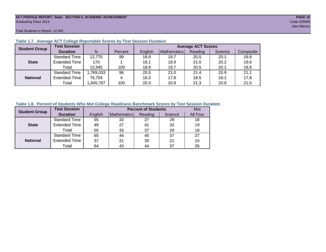#### **ACT PROFILE REPORT- State: SECTION II, ACADEMIC ACHIEVEMENT PAGE 10** Graduating Class 2014 Code 329999

Total Students in Report: 12,945

| <b>Student Group</b> | <b>Test Session</b>  |          |         | <b>Average ACT Scores</b> |             |         |         |           |  |  |  |  |  |
|----------------------|----------------------|----------|---------|---------------------------|-------------|---------|---------|-----------|--|--|--|--|--|
|                      | <b>Duration</b>      | N        | Percent | English                   | Mathematics | Reading | Science | Composite |  |  |  |  |  |
|                      | <b>Standard Time</b> | 12,775   | 99      | 18.9                      | 19.7        | 20.5    | 20.1    | 19.9      |  |  |  |  |  |
| <b>State</b>         | <b>Extended Time</b> | 170      |         | 18.1                      | 18.9        | 21.0    | 20.2    | 19.6      |  |  |  |  |  |
|                      | Total                | 12,945   | 100     | 18.9                      | 19.7        | 20.5    | 20.1    | 19.9      |  |  |  |  |  |
|                      | <b>Standard Time</b> | ,769,033 | 96      | 20.5                      | 21.0        | 21.4    | 20.9    | 21.1      |  |  |  |  |  |
| <b>National</b>      | <b>Extended Time</b> | 76.754   | 4       | 16.2                      | 17.8        | 18.5    | 18.1    | 17.8      |  |  |  |  |  |
|                      | Total                | ,845,787 | 100     | 20.3                      | 20.9        | 21.3    | 20.8    | 21.0      |  |  |  |  |  |

#### **Table 1.7. Average ACT College Reportable Scores by Test Session Duration**

#### **Table 1.8. Percent of Students Who Met College Readiness Benchmark Scores by Test Session Duration**

| <b>Student Group</b> | <b>Test Session</b>  |         |             | <b>Percent of Students</b> |         | Met      |
|----------------------|----------------------|---------|-------------|----------------------------|---------|----------|
|                      | <b>Duration</b>      | English | Mathematics | Reading                    | Science | All Four |
|                      | Standard Time        | 55      | 33          | 37                         | 29      | 18       |
| <b>State</b>         | <b>Extended Time</b> | 49      | 27          | 41                         | 32      | 19       |
|                      | Total                | 55      | 33          | 37                         | 29      | 18       |
|                      | Standard Time        | 65      | 44          | 45                         | 37      | 27       |
| <b>National</b>      | <b>Extended Time</b> | 37      | 21          | 30                         | 21      | 15       |
|                      | Total                | 64      | 43          | 44                         | 37      | 26       |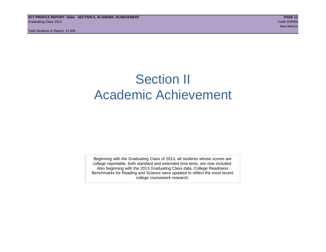# Section II Academic Achievement

Beginning with the Graduating Class of 2013, all students whose scores are college reportable, both standard and extended time tests, are now included. Also beginning with the 2013 Graduating Class data, College Readiness Benchmarks for Reading and Science were updated to reflect the most recent college coursework research.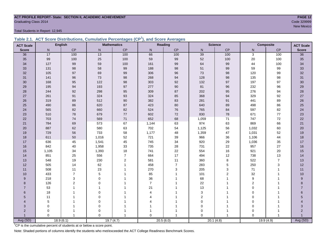## **ACT PROFILE REPORT- State: SECTION II, ACADEMIC ACHIEVEMENT PAGE 12** Code 329999<br>
Code 329999<br>
New Mexico

Total Students in Report: 12,945

|  | Table 2.1. ACT Score Distributions, Cumulative Percentages (CP <sup>1</sup> ), and Score Averages |  |  |  |
|--|---------------------------------------------------------------------------------------------------|--|--|--|
|  |                                                                                                   |  |  |  |

| <b>ACT Scale</b> |          | <b>English</b> |                 | <b>Mathematics</b> |                | Reading        |                | <b>Science</b> |                | <b>Composite</b> | <b>ACT Scale</b> |
|------------------|----------|----------------|-----------------|--------------------|----------------|----------------|----------------|----------------|----------------|------------------|------------------|
| <b>Score</b>     | N        | CP             | N               | CP                 | N              | CP             | N              | CP             | N              | CP               | <b>Score</b>     |
| 36               | 17       | 100            | $\overline{13}$ | 100                | 66             | 100            | 39             | 100            | $\overline{3}$ | 100              | $\overline{36}$  |
| 35               | 99       | 100            | 25              | 100                | 59             | 99             | 52             | 100            | $20\,$         | 100              | 35               |
| 34               | 127      | 99             | 59              | 100                | 161            | 99             | 64             | 99             | 44             | 100              | 34               |
| 33               | 131      | 98             | 58              | 99                 | 188            | 98             | 51             | 99             | 59             | 99               | 33               |
| 32               | 105      | 97             | 69              | 99                 | 306            | 96             | 73             | 98             | 120            | 99               | 32               |
| 31               | 141      | 96             | 73              | 98                 | 268            | 94             | 128            | 98             | 135            | 98               | 31               |
| 30               | 168      | 95             | 122             | 98                 | 303            | 92             | 132            | 97             | 197            | 97               | 30 <sup>°</sup>  |
| 29               | 195      | 94             | 193             | 97                 | 277            | 90             | 81             | 96             | 232            | 96               | 29               |
| 28               | 244      | 92             | 298             | 95                 | 309            | 87             | 202            | 95             | 276            | 94               | 28               |
| 27               | 261      | 91             | 324             | 93                 | 324            | 85             | 368            | 94             | 329            | 92               | 27               |
| 26               | 319      | 89             | 512             | $90\,$             | 382            | 83             | 281            | 91             | 441            | 89               | 26               |
| 25               | 490      | 86             | 620             | 87                 | 423            | 80             | 640            | 89             | 498            | 86               | 25               |
| 24               | 565      | 82             | 660             | 82                 | 524            | 76             | 765            | 84             | 597            | 82               | 24               |
| 23               | 510      | 78             | 679             | $77\,$             | 602            | 72             | 830            | 78             | 671            | 77               | 23               |
| 22               | 703      | 74             | 569             | 71                 | 652            | 68             | 1,059          | $71$           | 747            | 72               | 22               |
| 21               | 784      | 69             | 573             | 67                 | 1,144          | 63             | 974            | 63             | 869            | 66               | 21               |
| 20               | 887      | 62             | 580             | 63                 | 702            | 54             | 1,125          | 56             | 1,032          | 60               | 20               |
| 19               | 729      | 56             | 733             | 58                 | 1,177          | 48             | 1,359          | 47             | 1,031          | 52               | 19               |
| 18               | 611      | 50             | 1,016           | 52                 | 721            | 39             | 966            | 36             | 1,106          | 44               | 18               |
| 17               | 636      | 45             | 1,541           | 45                 | 745            | 34             | 920            | 29             | 1,036          | 35               | 17               |
| 16               | 842      | 40             | 1,958           | 33                 | 735            | 28             | 731            | $22\,$         | 957            | 27               | 16               |
| 15               | 1,105    | 34             | 1,393           | 18                 | 741            | 22             | 554            | 16             | 921            | 20               | 15               |
| 14               | 851      | 25             | 556             | $\overline{7}$     | 664            | 17             | 494            | 12             | 738            | 13               | 14               |
| 13               | 548      | 19             | 230             | $\mathbf 2$        | 581            | 11             | 360            | $\bf 8$        | 522            | $\overline{7}$   | 13               |
| 12               | 505      | 14             | 62              | $\mathbf{1}$       | 458            | $\overline{7}$ | 283            | $\sqrt{5}$     | 250            | $\sqrt{3}$       | 12               |
| 11               | 508      | 11             | 23              | 1                  | 270            | 3              | 205            | 3              | 71             | $\mathbf{1}$     | 11               |
| 10               | 433      | $\overline{7}$ | 5               |                    | 85             | 1              | 101            | $\overline{2}$ | 32             |                  | $10$             |
| 9                | 218      | 3              | $\Omega$        |                    | 36             |                | 68             |                | 9              |                  | 9                |
| 8                | 126      | $\overline{2}$ | $\Omega$        |                    | $\overline{7}$ |                | 22             |                | $\overline{2}$ |                  | 8                |
| $\overline{7}$   | 53       |                | 1               |                    | 21             |                | 13             |                | $\Omega$       |                  | $\overline{7}$   |
| 6                | 18       |                | $\Omega$        |                    | 4              |                | 3              |                | 0              |                  | 6                |
| 5                | 11       |                | $\Omega$        |                    | $\overline{4}$ |                | $\overline{2}$ |                | 0              |                  | 5                |
| 4                | 5        |                | 0               |                    | $\overline{4}$ |                | $\mathbf 0$    |                | 0              |                  | 4                |
| 3                | 0        |                | 0               | 1                  |                |                | $\mathbf 0$    |                | $\mathbf 0$    |                  | 3                |
| $\overline{2}$   | 0        |                | 0               |                    |                |                | 0              |                | $\Omega$       |                  | $\overline{c}$   |
|                  | $\Omega$ | 1              | $\Omega$        | $\overline{1}$     | $\Omega$       |                | $\Omega$       | 1              | $\Omega$       |                  |                  |
| Avg (SD)         |          | 18.9(6.1)      |                 | 19.7(4.7)          |                | 20.5(6.0)      |                | 20.1(4.8)      | 19.9(4.9)      |                  | Avg (SD)         |

<sup>1</sup>CP is the cumulative percent of students at or below a score point.

Note: Shaded portions of columns identify the students who met/exceeded the ACT College Readiness Benchmark Scores.

new Mexico and the contract of the contract of the contract of the contract of the contract of the contract of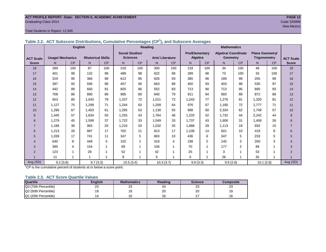#### **ACT PROFILE REPORT- State: SECTION II, ACADEMIC ACHIEVEMENT PAGE 13** Graduating Class 2014 Code 329999

#### Total Students in Report: 12,945

|                  | <b>English</b>          |                         |                          |           |                        |                | Reading                |     | <b>Mathematics</b>    |         |                     |                 |                        |           |                  |
|------------------|-------------------------|-------------------------|--------------------------|-----------|------------------------|----------------|------------------------|-----|-----------------------|---------|---------------------|-----------------|------------------------|-----------|------------------|
|                  |                         |                         |                          |           | <b>Social Studies/</b> |                |                        |     | <b>Pre/Elementary</b> |         | Algebra/ Coordinate |                 | <b>Plane Geometry/</b> |           |                  |
| <b>ACT Scale</b> | <b>Usage/ Mechanics</b> |                         | <b>Rhetorical Skills</b> |           | <b>Sciences</b>        |                | <b>Arts/Literature</b> |     |                       | Algebra |                     | <b>Geometry</b> | <b>Trigonometry</b>    |           | <b>ACT Scale</b> |
| <b>Score</b>     | N                       | <b>CP</b>               | N                        | <b>CP</b> | N                      | <b>CP</b>      | N                      | CP  | N                     | CP      | N                   | <b>CP</b>       | N <sub>1</sub>         | <b>CP</b> | <b>Score</b>     |
| 18               | 289                     | 100                     | 87                       | 100       | 216                    | 100            | 300                    | 100 | 218                   | 100     | 34                  | 100             | 48                     | 100       | 18               |
| 17               | 401                     | 98                      | 122                      | 99        | 489                    | 98             | 622                    | 98  | 289                   | 98      | 73                  | 100             | 33                     | 100       | 17               |
| 16               | 319                     | 95                      | 366                      | 98        | 613                    | 95             | 626                    | 93  | 385                   | 96      | 189                 | 99              | 255                    | 99        | 16               |
| 15               | 387                     | 92                      | 596                      | 96        | 457                    | 90             | 663                    | 88  | 450                   | 93      | 403                 | 98              | 535                    | 97        | 15               |
| 14               | 442                     | 89                      | 683                      | 91        | 825                    | 86             | 552                    | 83  | 713                   | 90      | 713                 | 95              | 695                    | 93        | 14               |
| 13               | 708                     | 86                      | 890                      | 86        | 985                    | 80             | 840                    | 79  | 911                   | 84      | 993                 | 89              | 872                    | 88        | 13               |
| 12               | 653                     | 80                      | 1.043                    | 79        | 1,237                  | 72             | 1.011                  | 72  | 1.243                 | 77      | 1,276               | 81              | 1.320                  | 81        | 12               |
| 11               | 1,127                   | 75                      | 1,299                    | 71        | 1,244                  | 63             | 1,209                  | 64  | 976                   | 67      | 1.180               | 72              | 1.777                  | 71        | 11               |
| 10               | 1,296                   | 67                      | 1,403                    | 61        | 1,295                  | 53             | 1,130                  | 55  | 998                   | 60      | 2,334               | 62              | 1.749                  | 57        | 10               |
| 9                | 1,445                   | 57                      | 1,634                    | 50        | 1,255                  | 43             | 1,764                  | 46  | 1,220                 | 52      | 1.732               | 44              | 2,242                  | 44        | 9                |
| 8                | 1.279                   | 45                      | 1.599                    | 37        | 1.722                  | 33             | 1.049                  | 33  | 1.737                 | 43      | 1,606               | 31              | 1.458                  | 26        | 8                |
| $\overline{7}$   | 1.188                   | 36                      | 963                      | 25        | 1,216                  | 20             | 1.032                  | 25  | 1,968                 | 29      | 1.113               | 19              | 932                    | 15        | $\overline{7}$   |
| 6                | 1,213                   | 26                      | 887                      | 17        | 762                    | 11             | 813                    | 17  | 1.108                 | 14      | 601                 | 10              | 419                    | 8         | 6                |
| 5                | 1,039                   | 17                      | 741                      | 11        | 347                    | 5              | 863                    | 10  | 436                   | 6       | 347                 | 5               | 233                    | 5         | 5                |
| 4                | 640                     | 9                       | 449                      | 5         | 152                    | $\overline{2}$ | 318                    | 4   | 198                   | 2       | 145                 | 3               | 200                    | 3         | $\overline{4}$   |
| 3                | 385                     | $\overline{\mathbf{4}}$ | 154                      | 1         | 69                     |                | 106                    | 1   | 70                    | 1       | 177                 | $\overline{2}$  | 89                     | 1         | 3                |
| $\overline{2}$   | 123                     |                         | 28                       | 1         | 52                     |                | 42                     | 1   | 25                    |         | 3                   | 1               | 53                     | 1         | $\overline{2}$   |
|                  | 11                      | $\overline{ }$          | $\overline{ }$           | 1         | 9                      |                | 5                      |     | $\Omega$              |         | 26                  | $\overline{ }$  | 35                     | -1        |                  |
| Avg (SD)         | 9.2(3.8)                |                         | 9.7(3.3)                 |           | 10.5(3.4)              |                | 10.3(3.7)              |     | 9.9(3.3)              |         | 9.9(2.8)            |                 | 10.1(2.8)              |           | Avg (SD)         |

**Table 2.2. ACT Subscore Distributions, Cumulative Percentages (CP<sup>1</sup> ), and Subscore Averages**

 $1$ <sup>-1</sup>CP is the cumulative percent of students at or below a score point.

#### **Table 2.3. ACT Score Quartile Values**

| <b>Quartile</b>      | <b>Enalish</b> | <b>Mathematics</b> | Reading | <b>Science</b> | Composite |
|----------------------|----------------|--------------------|---------|----------------|-----------|
| Q3 (75th Percentile) | 23             | ົ<br>ںے            | 24      | ົ<br>د∠        | د∠        |
| Q2 (50th Percentile) | 19             |                    | 20      | 20             |           |
| Q1 (25th Percentile) |                |                    |         |                |           |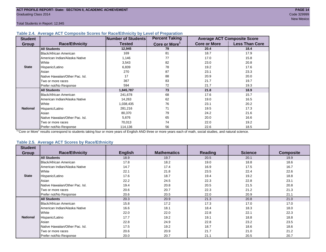Total Students in Report: 12,945

#### **Table 2.4. Average ACT Composite Scores for Race/Ethnicity by Level of Preparation**

| <b>Student</b>  |                                 | Number of Students | <b>Percent Taking</b>     |                     | <b>Average ACT Composite Score</b> |
|-----------------|---------------------------------|--------------------|---------------------------|---------------------|------------------------------------|
| <b>Group</b>    | <b>Race/Ethnicity</b>           | <b>Tested</b>      | Core or More <sup>1</sup> | <b>Core or More</b> | <b>Less Than Core</b>              |
|                 | <b>All Students</b>             | 12,945             | 79                        | 20.4                | 18.4                               |
|                 | Black/African American          | 169                | 81                        | 18.7                | 17.9                               |
|                 | American Indian/Alaska Native   | 1,146              | 77                        | 17.0                | 15.8                               |
|                 | White                           | 3,543              | 82                        | 23.0                | 20.8                               |
| <b>State</b>    | Hispanic/Latino                 | 6,839              | 78                        | 19.2                | 17.6                               |
|                 | Asian                           | 270                | 87                        | 23.1                | 23.3                               |
|                 | Native Hawaiian/Other Pac. Isl. | 17                 | 88                        | 20.9                | 20.0                               |
|                 | Two or more races               | 367                | 83                        | 21.7                | 19.7                               |
|                 | Prefer not/No Response          | 594                | 72                        | 21.7                | 19.3                               |
|                 | <b>All Students</b>             | 1,845,787          | 73                        | 21.8                | 18.9                               |
|                 | Black/African American          | 241,678            | 68                        | 17.6                | 15.7                               |
|                 | American Indian/Alaska Native   | 14,263             | 62                        | 19.0                | 16.5                               |
|                 | White                           | 1,038,435          | 76                        | 23.1                | 20.2                               |
| <b>National</b> | Hispanic/Latino                 | 281,216            | 71                        | 19.5                | 17.3                               |
|                 | Asian                           | 80,370             | 79                        | 24.2                | 21.6                               |
|                 | Native Hawaiian/Other Pac. Isl. | 5,676              | 65                        | 20.0                | 16.6                               |
|                 | Two or more races               | 70,013             | 74                        | 22.0                | 19.2                               |
|                 | Prefer not/No Response          | 114,136            | 56                        | 22.6                | 18.5                               |

<sup>1</sup>"Core or More" results correspond to students taking four or more years of English AND three or more years each of math, social studies, and natural science.

#### **Table 2.5. Average ACT Scores by Race/Ethnicity**

| <b>Student</b>  |                                 |                |                    |         |                |                  |
|-----------------|---------------------------------|----------------|--------------------|---------|----------------|------------------|
| Group           | <b>Race/Ethnicity</b>           | <b>English</b> | <b>Mathematics</b> | Reading | <b>Science</b> | <b>Composite</b> |
|                 | <b>All Students</b>             | 18.9           | 19.7               | 20.5    | 20.1           | 19.9             |
|                 | <b>Black/African American</b>   | 17.8           | 18.2               | 19.0    | 18.8           | 18.6             |
|                 | American Indian/Alaska Native   | 14.7           | 17.4               | 16.9    | 17.5           | 16.7             |
|                 | White                           | 22.1           | 21.8               | 23.5    | 22.4           | 22.6             |
| <b>State</b>    | Hispanic/Latino                 | 17.6           | 18.7               | 19.4    | 19.2           | 18.8             |
|                 | Asian                           | 22.2           | 24.5               | 22.3    | 22.8           | 23.1             |
|                 | Native Hawaiian/Other Pac. Isl. | 19.4           | 20.8               | 20.5    | 21.5           | 20.8             |
|                 | Two or more races               | 20.6           | 20.7               | 22.3    | 21.2           | 21.3             |
|                 | Prefer not/No Response          | 20.6           | 20.5               | 22.0    | 20.9           | 21.1             |
|                 | <b>All Students</b>             | 20.3           | 20.9               | 21.3    | 20.8           | 21.0             |
|                 | <b>Black/African American</b>   | 15.8           | 17.2               | 17.3    | 17.0           | 17.0             |
|                 | American Indian/Alaska Native   | 16.6           | 18.1               | 18.4    | 18.3           | 18.0             |
|                 | <b>White</b>                    | 22.0           | 22.0               | 22.8    | 22.1           | 22.3             |
| <b>National</b> | Hispanic/Latino                 | 17.7           | 19.2               | 19.1    | 18.8           | 18.8             |
|                 | Asian                           | 22.8           | 24.9               | 22.8    | 23.2           | 23.5             |
|                 | Native Hawaiian/Other Pac. Isl. | 17.5           | 19.2               | 18.7    | 18.6           | 18.6             |
|                 | Two or more races               | 20.6           | 20.9               | 21.7    | 21.0           | 21.2             |
|                 | Prefer not/No Response          | 20.0           | 20.7               | 21.1    | 20.5           | 20.7             |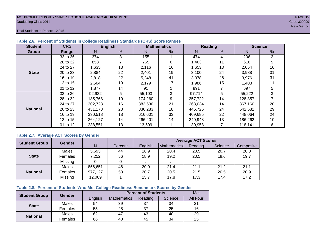#### **ACT PROFILE REPORT- State: SECTION II, ACADEMIC ACHIEVEMENT PAGE 15** Graduating Class 2014 Code 329999

new Mexico and the contract of the contract of the contract of the contract of the contract of the contract of

Total Students in Report: 12,945

| <b>Student</b>  | <b>CRS</b> |         | <b>English</b> |         | <b>Mathematics</b> |         | <b>Reading</b> |         | <b>Science</b> |
|-----------------|------------|---------|----------------|---------|--------------------|---------|----------------|---------|----------------|
| Group           | Range      | N.      | %              | N       | %                  | N       | %              | N       | %              |
|                 | 33 to 36   | 374     | 3              | 155     |                    | 474     | 4              | 206     | $\overline{2}$ |
|                 | 28 to 32   | 853     |                | 755     | 6                  | 1,463   | 11             | 616     | 5              |
|                 | 24 to 27   | 1,635   | 13             | 2,116   | 16                 | 1,653   | 13             | 2,054   | 16             |
| <b>State</b>    | 20 to 23   | 2,884   | 22             | 2,401   | 19                 | 3,100   | 24             | 3,988   | 31             |
|                 | 16 to 19   | 2,818   | 22             | 5,248   | 41                 | 3,378   | 26             | 3,976   | 31             |
|                 | 13 to 15   | 2,504   | 19             | 2,179   | 17                 | 1,986   | 15             | 1,408   | 11             |
|                 | 01 to 12   | 1,877   | 14             | 91      |                    | 891     |                | 697     | 5              |
|                 | 33 to 36   | 92,922  | 5              | 55,103  | 3                  | 97,714  | 5              | 55,222  | 3              |
|                 | 28 to 32   | 185,768 | 10             | 174,260 | 9                  | 257,722 | 14             | 128,357 |                |
|                 | 24 to 27   | 302.723 | 16             | 383,630 | 21                 | 263,034 | 14             | 367,160 | 20             |
| <b>National</b> | 20 to 23   | 431.178 | 23             | 336.283 | 18                 | 445.726 | 24             | 542,581 | 29             |
|                 | 16 to 19   | 330,518 | 18             | 616.601 | 33                 | 409,685 | 22             | 448,064 | 24             |
|                 | 13 to 15   | 264,127 | 14             | 266,401 | 14                 | 240.948 | 13             | 186.262 | 10             |
|                 | 01 to 12   | 238,551 | 13             | 13,509  |                    | 130,958 |                | 118,141 | 6              |

#### **Table 2.6. Percent of Students in College Readiness Standards (CRS) Score Ranges**

#### **Table 2.7. Average ACT Scores by Gender**

| <b>Student Group</b> | Gender         |         |         | <b>Average ACT Scores</b> |             |         |         |           |  |  |  |
|----------------------|----------------|---------|---------|---------------------------|-------------|---------|---------|-----------|--|--|--|
|                      |                | N       | Percent | English                   | Mathematics | Reading | Science | Composite |  |  |  |
|                      | Males          | 5,693   | 44      | 18.9                      | 20.4        | 20.5    | 20.7    | 20.3      |  |  |  |
| <b>State</b>         | <b>Females</b> | 7,252   | 56      | 18.9                      | 19.2        | 20.5    | 19.6    | 19.7      |  |  |  |
|                      | Missing        |         | 0       |                           |             |         |         |           |  |  |  |
|                      | Males          | 856,651 | 46      | 20.0                      | 21.4        | 21.1    | 21.2    | 21.1      |  |  |  |
| <b>National</b>      | Females        | 977,127 | 53      | 20.7                      | 20.5        | 21.5    | 20.5    | 20.9      |  |  |  |
|                      | Missing        | 12,009  |         | 15.7                      | 17.8        | 17.3    | 17.4    | 17.2      |  |  |  |

#### **Table 2.8. Percent of Students Who Met College Readiness Benchmark Scores by Gender**

| <b>Student Group</b> | Gender       |         | <b>Percent of Students</b> |         |         |          |  |  |  |  |
|----------------------|--------------|---------|----------------------------|---------|---------|----------|--|--|--|--|
|                      |              | English | <b>Mathematics</b>         | Reading | Science | All Four |  |  |  |  |
| <b>State</b>         | Males        | 54      | 39                         | 37      | 34      | 21       |  |  |  |  |
|                      | Females      | 55      | 28                         | 37      | 25      | 16       |  |  |  |  |
| <b>National</b>      | <b>Males</b> | 62      | 47                         | 43      | 40      | 29       |  |  |  |  |
|                      | Females      | 66      | 40                         | 45      | 34      | 25       |  |  |  |  |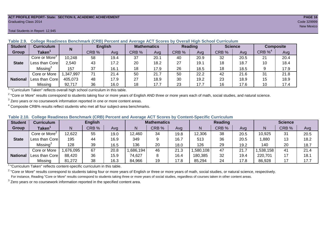#### **ACT PROFILE REPORT- State: SECTION II, ACADEMIC ACHIEVEMENT PAGE 16** Graduating Class 2014 Code 329999

| <b>Student</b>  | <b>Curriculum</b>         | N         | <b>English</b> |      | <b>Mathematics</b> |      | <b>Reading</b> |      |       | <b>Science</b> | <b>Composite</b> |      |
|-----------------|---------------------------|-----------|----------------|------|--------------------|------|----------------|------|-------|----------------|------------------|------|
| <b>Group</b>    | $\mathsf{Taken}^{\hat{}}$ |           | CRB %          | Ava  | CRB %              | Avg  | CRB %          | Avg  | CRB % | Avg            | CRB $\%^4$       | Avg  |
|                 | Core or More <sup>2</sup> | 10,248    | 58             | 19.4 | 37                 | 20.1 | 40             | 20.9 | 32    | 20.5           | 21               | 20.4 |
| <b>State</b>    | Less than Core            | 2,540     | 43             | 17.2 | 20                 | 18.2 | 27             | 19.1 | 18    | 18.7           | 10               | 18.4 |
|                 | Missing <sup>3</sup>      | 157       | 37             | 16.1 | 18                 | 17.9 | 26             | 18.5 | 18    | 18.5           |                  | 17.9 |
|                 | Core or More              | 1,347,997 | 71             | 21.4 | 50                 | 21.7 | 50             | 22.2 | 42    | 21.6           | 31               | 21.8 |
| <b>National</b> | Less than Core            | 405,073   | 48             | 17.9 | 27                 | 18.9 | 30             | 19.2 | 23    | 18.9           | 15               | 18.9 |
|                 | Missing                   | 92,717    | 36             | 16.0 | 18                 | 17.7 | 23             | 17.7 | 16    | 17.6           | 10               | 17.4 |

#### **Table 2.9. College Readiness Benchmark (CRB) Percent and Average ACT Scores by Overall High School Curriculum**

1 "Curriculum Taken" reflects overall high school curriculum in this table.

 $^2$  "Core or More" results correspond to students taking four or more years of English AND three or more years each of math, social studies, and natural science.

 $3$  Zero years or no coursework information reported in one or more content areas.

 $4$  Composite CRB% results reflect students who met all four subject-area benchmarks.

#### **Table 2.10. College Readiness Benchmark (CRB) Percent and Average ACT Scores by Content-Specific Curriculum**

| <b>Student</b>  | Curriculum                |          | <b>English</b> |      |          | <b>Mathematics</b> |      |          | <b>Reading</b> |      |          | <b>Science</b> |      |  |
|-----------------|---------------------------|----------|----------------|------|----------|--------------------|------|----------|----------------|------|----------|----------------|------|--|
| Group           | <b>Taken</b>              |          | CRB %          | Avg  |          | CRB %              | Avg  | N        | CRB %          | Avg  | N        | CRB %          | Avg  |  |
|                 | Core or More <sup>2</sup> | 12,622   | 55             | 19.0 | 12,460   | 34                 | 19.8 | 12,306   | 38             | 20.5 | 10,925   | 31             | 20.5 |  |
| <b>State</b>    | Less than Core            | 195      | 44             | 16.9 | 349      |                    | 16.7 | 513      | 36             | 20.5 | ,880     | 13             | 18.2 |  |
|                 | Missing <sup>3</sup>      | 128      | 39             | 16.5 | 136      | 20                 | 18.0 | 126      | 29             | 19.2 | 140      | 20             | 18.7 |  |
|                 | Core or More              | .676.095 | 67             | 20.8 | ,686,194 | 46                 | 21.3 | ,580,108 | 47             | 21.7 | ,538,158 | 41             | 21.4 |  |
| <b>National</b> | Less than Core            | 88,420   | 36             | 15.9 | 74,627   |                    | 16.4 | 180,385  | 32             | 19.4 | 220,701  |                | 18.1 |  |
|                 | Missing                   | 81,272   | 38             | 16.3 | 84,966   | 19                 | 17.8 | 85,294   | 24             | 17.8 | 86,928   |                | 17.7 |  |

<sup>1</sup> "Curriculum Taken" reflects content-specific curriculum in this table.

<sup>2</sup> "Core or More" results correspond to students taking four or more years of English or three or more years of math, social studies, or natural science, respectively. For instance, Reading "Core or More" results correspond to students taking three or more years of social studies, regardless of courses taken in other content areas.

 $3$  Zero years or no coursework information reported in the specified content area.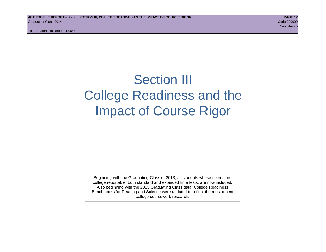Total Students in Report: 12,945

# Section III College Readiness and the Impact of Course Rigor

Beginning with the Graduating Class of 2013, all students whose scores are college reportable, both standard and extended time tests, are now included. Also beginning with the 2013 Graduating Class data, College Readiness Benchmarks for Reading and Science were updated to reflect the most recent college coursework research.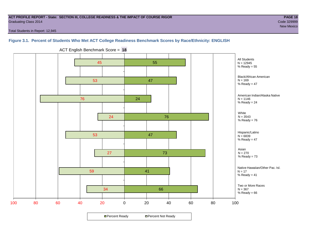#### **ACT PROFILE REPORT - State: SECTION III, COLLEGE READINESS & THE IMPACT OF COURSE RIGOR PAGE 18** Graduating Class 2014 Code 329999

new Mexico and the contract of the contract of the contract of the contract of the contract of the contract of

Total Students in Report: 12,945

#### **Figure 3.1. Percent of Students Who Met ACT College Readiness Benchmark Scores by Race/Ethnicity: ENGLISH**



ACT English Benchmark Score = **18**

**□ Percent Ready DPercent Not Ready**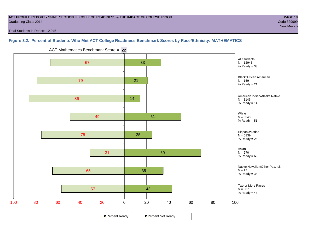#### **ACT PROFILE REPORT - State: SECTION III, COLLEGE READINESS & THE IMPACT OF COURSE RIGOR PAGE 19** Graduating Class 2014 Code 329999

new Mexico and the contract of the contract of the contract of the contract of the contract of the contract of

Total Students in Report: 12,945

#### **Figure 3.2. Percent of Students Who Met ACT College Readiness Benchmark Scores by Race/Ethnicity: MATHEMATICS**



ACT Mathematics Benchmark Score = **22**

**□ Percent Ready DPercent Not Ready**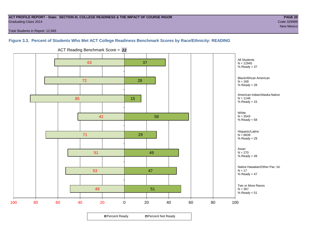#### **ACT PROFILE REPORT - State: SECTION III, COLLEGE READINESS & THE IMPACT OF COURSE RIGOR PAGE 20** Graduating Class 2014 Code 329999

new Mexico and the contract of the contract of the contract of the contract of the contract of the contract of

Total Students in Report: 12,945

#### **Figure 3.3. Percent of Students Who Met ACT College Readiness Benchmark Scores by Race/Ethnicity: READING**



ACT Reading Benchmark Score = **22**

**□ Percent Ready DPercent Not Ready**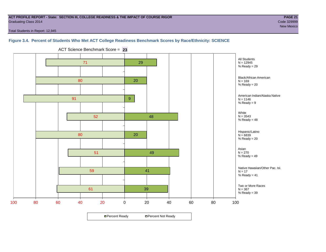#### **ACT PROFILE REPORT - State: SECTION III, COLLEGE READINESS & THE IMPACT OF COURSE RIGOR PAGE 21** Graduating Class 2014 Code 329999

new Mexico and the contract of the contract of the contract of the contract of the contract of the contract of

Total Students in Report: 12,945

#### **Figure 3.4. Percent of Students Who Met ACT College Readiness Benchmark Scores by Race/Ethnicity: SCIENCE**



ACT Science Benchmark Score = **23**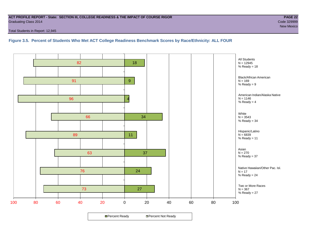#### **ACT PROFILE REPORT - State: SECTION III, COLLEGE READINESS & THE IMPACT OF COURSE RIGOR PAGE 22** Graduating Class 2014 Code 329999

Total Students in Report: 12,945

**Figure 3.5. Percent of Students Who Met ACT College Readiness Benchmark Scores by Race/Ethnicity: ALL FOUR**

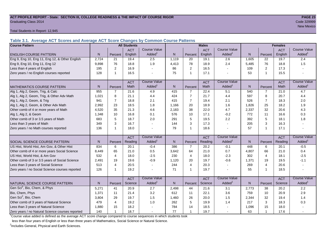#### **ACT PROFILE REPORT - State: SECTION III, COLLEGE READINESS & THE IMPACT OF COURSE RIGOR PAGE 23** Graduating Class 2014 Code 329999

Total Students in Report: 12,945

**Table 3.1. Average ACT Scores and Average ACT Score Changes by Common Course Patterns**

| <b>Course Pattern</b>                            |                |                | <b>All Students</b> |                     |              |                | <b>Males</b> |                     |              |                | <b>Females</b> |                        |
|--------------------------------------------------|----------------|----------------|---------------------|---------------------|--------------|----------------|--------------|---------------------|--------------|----------------|----------------|------------------------|
|                                                  |                |                | <b>ACT</b>          | Course Value        |              |                | <b>ACT</b>   | <b>Course Value</b> |              |                | <b>ACT</b>     | <b>Course Value</b>    |
| <b>ENGLISH COURSE PATTERN</b>                    | N              | Percent        | English             | Added <sup>1</sup>  | $\mathsf{N}$ | Percent        | English      | Added               | $\mathsf{N}$ | Percent        | English        | A d d e d <sup>1</sup> |
| Eng 9, Eng 10, Eng 11, Eng 12, & Other English   | 2,724          | 21             | 19.4                | 2.5                 | 1,119        | 20             | 19.1         | 2.6                 | 1,605        | 22             | 19.7           | 2.4                    |
| Eng 9, Eng 10, Eng 11, Eng 12                    | 9,898          | 76             | 18.8                | 1.9                 | 4,413        | 78             | 18.9         | 2.4                 | 5,485        | 76             | 18.8           | 1.5                    |
| Less than 4 years of English                     | 195            | 2              | 16.9                |                     | 86           | 2              | 16.5         | $\sim$              | 109          | 2              | 17.3           |                        |
| Zero years / no English courses reported         | 128            | $\mathbf 1$    | 16.5                |                     | 75           | $\mathbf{1}$   | 17.1         |                     | 53           | $\overline{1}$ | 15.5           |                        |
|                                                  |                |                | <b>ACT</b>          | <b>Course Value</b> |              |                | <b>ACT</b>   | <b>Course Value</b> |              |                | <b>ACT</b>     | <b>Course Value</b>    |
| <b>MATHEMATICS COURSE PATTERN</b>                | N <sub>1</sub> | Percent        | Math                | Added               | N.           | Percent        | Math         | Added <sup>1</sup>  | N            | Percent        | Math           | Added <sup>1</sup>     |
| Alg 1, Alg 2, Geom, Trig, & Calc                 | 955            | $\overline{7}$ | 21.6                | 4.9                 | 415          | $\overline{7}$ | 22.4         | 5.1                 | 540          | $\overline{7}$ | 21.0           | 4.7                    |
| Alg 1, Alg 2, Geom, Trig, & Other Adv Math       | 1,021          | 8              | 21.1                | 4.4                 | 424          | $\overline{7}$ | 21.7         | 4.4                 | 597          | 8              | 20.7           | 4.4                    |
| Alg 1, Alg 2, Geom, & Trig                       | 941            | $\overline{7}$ | 18.8                | 2.1                 | 415          | $\overline{7}$ | 19.4         | 2.1                 | 526          | $\overline{7}$ | 18.3           | 2.0                    |
| Alg 1, Alg 2, Geom, & Other Adv Math             | 2,992          | 23             | 18.5                | 1.8                 | 1,166        | 20             | 18.9         | 1.6                 | 1,826        | 25             | 18.2           | 1.9                    |
| Other comb of 4 or more years of Math            | 4,520          | 35             | 21.3                | 4.6                 | 2,183        | 38             | 22.0         | 4.7                 | 2,337        | 32             | 20.6           | 4.3                    |
| Alg 1, Alg 2, & Geom                             | 1,348          | 10             | 16.8                | 0.1                 | 576          | 10             | 17.1         | $-0.2$              | 772          | 11             | 16.6           | 0.3                    |
| Other comb of 3 or 3.5 years of Math             | 683            | 5              | 18.7                | 2.0                 | 291          | 5              | 19.5         | 2.2                 | 392          | 5              | 18.1           | 1.8                    |
| Less than 3 years of Math                        | 349            | 3              | 16.7                |                     | 144          | 3              | 17.3         | $\overline{a}$      | 205          | 3              | 16.3           |                        |
| Zero years / no Math courses reported            | 136            | $\mathbf 1$    | 18.0                |                     | 79           | $\mathbf{1}$   | 18.6         |                     | 57           | 1              | 17.1           |                        |
|                                                  |                |                | <b>ACT</b>          | <b>Course Value</b> |              |                | <b>ACT</b>   | <b>Course Value</b> |              |                | <b>ACT</b>     | <b>Course Value</b>    |
| <b>SOCIAL SCIENCE COURSE PATTERN</b>             | N.             | Percent        | Reading             | Added               | N            | Percent        | Reading      | Added               | N            | Percent        | Reading        | A d d e d <sup>1</sup> |
| US Hist, World Hist, Am Gov, & Other Hist        | 834            | 6              | 20.1                | $-0.4$              | 386          | $\overline{7}$ | 20.2         | $-0.1$              | 448          | 6              | 20.1           | $-0.5$                 |
| Other comb of 4 or more years Social Science     | 8,449          | 65             | 21.0                | 0.5                 | 3,642        | 64             | 21.0         | 0.7                 | 4,807        | 66             | 21.0           | 0.4                    |
| US Hist, World Hist, & Am Gov                    | 532            | 4              | 18.0                | $-2.5$              | 230          | $\overline{4}$ | 18.0         | $-2.3$              | 302          | $\overline{4}$ | 18.1           | $-2.5$                 |
| Other comb of 3 or 3.5 years of Social Science   | 2,491          | 19             | 19.6                | $-0.9$              | 1,120        | 20             | 19.7         | $-0.6$              | 1,371        | 19             | 19.5           | $-1.1$                 |
| Less than 3 years of Social Science              | 513            | $\overline{4}$ | 20.5                |                     | 244          | $\overline{4}$ | 20.3         | $\sim$              | 269          | 4              | 20.6           |                        |
| Zero years / no Social Science courses reported  | 126            | $\mathbf 1$    | 19.2                |                     | 71           | $\mathbf{1}$   | 19.7         | $\blacksquare$      | 55           | 1              | 18.5           | $\blacksquare$         |
|                                                  |                |                | <b>ACT</b>          | <b>Course Value</b> |              |                | <b>ACT</b>   | <b>Course Value</b> |              |                | <b>ACT</b>     | <b>Course Value</b>    |
| NATURAL SCIENCE COURSE PATTERN                   | N <sub>1</sub> | Percent        | Science             | Added               | N.           | Percent        | Science      | Added               | N            | Percent        | Science        | A d d e d <sup>1</sup> |
| Gen Sci <sup>2</sup> , Bio, Chem, & Phys         | 5,271          | 41             | 20.9                | 2.7                 | 2,498        | 44             | 21.6         | 3.1                 | 2,773        | 38             | 20.2           | 2.2                    |
| Bio, Chem, Phys                                  | 1,371          | 11             | 21.4                | 3.2                 | 612          | 11             | 22.1         | 3.6                 | 759          | 10             | 20.9           | 2.9                    |
| Gen Sci <sup>2</sup> , Bio, Chem                 | 3,804          | 29             | 19.7                | 1.5                 | 1,460        | 26             | 20.0         | 1.5                 | 2,344        | 32             | 19.4           | 1.4                    |
| Other comb of 3 years of Natural Science         | 479            | $\overline{4}$ | 19.2                | 1.0                 | 262          | $\mathbf 5$    | 19.9         | 1.4                 | 217          | 3              | 18.3           | 0.3                    |
| Less than 3 years of Natural Science             | 1,880          | 15             | 18.2                |                     | 784          | 14             | 18.5         |                     | 1,096        | 15             | 18.0           |                        |
| Zero years / no Natural Science courses reported | 140            |                | 18.7                |                     | 77           | $\mathbf{1}$   | 19.7         |                     | 63           | 1              | 17.6           |                        |

<sup>1</sup>Course value added is defined as the average ACT score change compared to course sequences in which students took

less than four years of English or less than three years of Mathematics, Social Science or Natural Science.

<sup>2</sup>Includes General, Physical and Earth Sciences.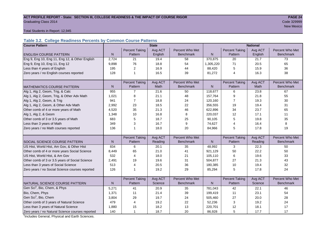#### ACT PROFILE REPORT - State: SECTION III, COLLEGE READINESS & THE IMPACT OF COURSE RIGOR **PAGE 24** Graduating Class 2014 Code 329999

New Mexico and the contract of the contract of the contract of the contract of the contract of the contract of

Total Students in Report: 12,945

### **Table 3.2. College Readiness Percents by Common Course Patterns**

| <b>Course Pattern</b>                            |                |                                  | <b>State</b>    |                                     | <b>National</b> |                                  |                 |                                     |  |
|--------------------------------------------------|----------------|----------------------------------|-----------------|-------------------------------------|-----------------|----------------------------------|-----------------|-------------------------------------|--|
|                                                  |                | <b>Percent Taking</b>            | Avg ACT         | Percent Who Met                     |                 | <b>Percent Taking</b>            | Avg ACT         | Percent Who Met                     |  |
| <b>ENGLISH COURSE PATTERN</b>                    | N              | Pattern                          | English         | <b>Benchmark</b>                    | $\mathsf{N}$    | Pattern                          | English         | <b>Benchmark</b>                    |  |
| Eng 9, Eng 10, Eng 11, Eng 12, & Other English   | 2,724          | 21                               | 19.4            | 58                                  | 370,875         | 20                               | 21.7            | 73                                  |  |
| Eng 9, Eng 10, Eng 11, Eng 12                    | 9,898          | 76                               | 18.8            | 54                                  | 1,305,220       | 71                               | 20.5            | 65                                  |  |
| Less than 4 years of English                     | 195            | $\overline{2}$                   | 16.9            | 44                                  | 88,420          | 5                                | 15.9            | 36                                  |  |
| Zero years / no English courses reported         | 128            | $\mathbf{1}$                     | 16.5            | 39                                  | 81,272          | 4                                | 16.3            | 38                                  |  |
|                                                  |                |                                  |                 |                                     |                 |                                  |                 |                                     |  |
| <b>MATHEMATICS COURSE PATTERN</b>                | N <sub>1</sub> | <b>Percent Taking</b><br>Pattern | Avg ACT<br>Math | Percent Who Met<br><b>Benchmark</b> | N               | <b>Percent Taking</b><br>Pattern | Avg ACT<br>Math | Percent Who Met<br><b>Benchmark</b> |  |
| Alg 1, Alg 2, Geom, Trig, & Calc                 | 955            | 7                                | 21.6            | 50                                  | 118,677         | 6                                | 23.8            | 67                                  |  |
|                                                  | 1,021          |                                  | 21.1            | 48                                  |                 |                                  | 21.8            | 55                                  |  |
| Alg 1, Alg 2, Geom, Trig, & Other Adv Math       | 941            | 8                                |                 |                                     | 157,764         | 9                                |                 |                                     |  |
| Alg 1, Alg 2, Geom, & Trig                       |                | $\overline{7}$                   | 18.8<br>18.5    | 24<br>22                            | 120,160         | $\overline{7}$                   | 19.3<br>19.4    | 30<br>31                            |  |
| Alg 1, Alg 2, Geom, & Other Adv Math             | 2,992          | 23                               |                 |                                     | 356,555         | 19                               |                 |                                     |  |
| Other comb of 4 or more years of Math            | 4,520          | 35                               | 21.3            | 46                                  | 622,896         | 34                               | 23.7            | 65                                  |  |
| Alg 1, Alg 2, & Geom                             | 1,348          | 10                               | 16.8            | 8                                   | 220,037         | 12                               | 17.1            | 11                                  |  |
| Other comb of 3 or 3.5 years of Math             | 683            | 5                                | 18.7            | 25                                  | 90,105          | 5                                | 19.8            | 35                                  |  |
| Less than 3 years of Math                        | 349            | 3                                | 16.7            | 9                                   | 74,627          | 4                                | 16.4            | 8                                   |  |
| Zero years / no Math courses reported            | 136            | 1                                | 18.0            | 20                                  | 84,966          | 5                                | 17.8            | 19                                  |  |
|                                                  |                |                                  |                 |                                     |                 |                                  |                 |                                     |  |
|                                                  |                | <b>Percent Taking</b>            | Avg ACT         | Percent Who Met                     |                 | <b>Percent Taking</b>            | Avg ACT         | Percent Who Met                     |  |
| SOCIAL SCIENCE COURSE PATTERN                    | N <sub>1</sub> | Pattern                          | Reading         | <b>Benchmark</b>                    | N               | Pattern                          | Reading         | <b>Benchmark</b>                    |  |
| US Hist, World Hist, Am Gov, & Other Hist        | 834            | 6                                | 20.1            | 35                                  | 48,992          | 3                                | 22.3            | 50                                  |  |
| Other comb of 4 or more years Social Science     | 8,449          | 65                               | 21.0            | 41                                  | 921,129         | 50                               | 22.2            | 50                                  |  |
| US Hist, World Hist, & Am Gov                    | 532            | 4                                | 18.0            | 21                                  | 105,110         | 6                                | 19.6            | 33                                  |  |
| Other comb of 3 or 3.5 years of Social Science   | 2,491          | 19                               | 19.6            | 31                                  | 504,877         | 27                               | 21.3            | 43                                  |  |
| Less than 3 years of Social Science              | 513            | 4                                | 20.5            | 36                                  | 180,385         | 10                               | 19.4            | 32                                  |  |
| Zero years / no Social Science courses reported  | 126            | 1                                | 19.2            | 29                                  | 85,294          | 5                                | 17.8            | 24                                  |  |
|                                                  |                |                                  | Avg ACT         | Percent Who Met                     |                 | <b>Percent Taking</b>            | Avg ACT         | Percent Who Met                     |  |
| NATURAL SCIENCE COURSE PATTERN                   | N <sub>1</sub> | <b>Percent Taking</b><br>Pattern | Science         | <b>Benchmark</b>                    | N               | Pattern                          | Science         | <b>Benchmark</b>                    |  |
| Gen Sci <sup>1</sup> , Bio, Chem, & Phys         | 5,271          | 41                               | 20.9            | 35                                  | 781,043         | 42                               | 22.1            | 46                                  |  |
| Bio, Chem, Phys                                  | 1,371          | 11                               | 21.4            | 39                                  | 199,419         | 11                               | 23.1            | 54                                  |  |
| Gen Sci <sup>1</sup> , Bio, Chem                 | 3,804          | 29                               | 19.7            | 24                                  | 505,460         | 27                               | 20.0            | 28                                  |  |
| Other comb of 3 years of Natural Science         | 479            | 4                                | 19.2            | 22                                  | 52,236          | 3                                | 19.2            | 24                                  |  |
| Less than 3 years of Natural Science             | 1,880          | 15                               | 18.2            | 13                                  | 220,701         | 12                               | 18.1            | 17                                  |  |
| Zero years / no Natural Science courses reported | 140            | $\mathbf{1}$                     | 18.7            | 20                                  | 86,928          | 5                                | 17.7            | 17                                  |  |

<sup>1</sup>Includes General, Physical and Earth Sciences.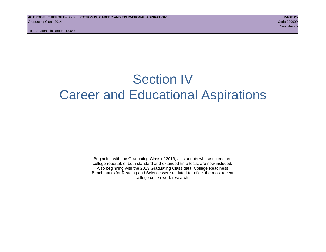Total Students in Report: 12,945

# Section IV Career and Educational Aspirations

Beginning with the Graduating Class of 2013, all students whose scores are college reportable, both standard and extended time tests, are now included. Also beginning with the 2013 Graduating Class data, College Readiness Benchmarks for Reading and Science were updated to reflect the most recent college coursework research.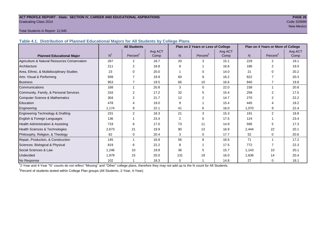#### **ACT PROFILE REPORT - State: SECTION IV, CAREER AND EDUCATIONAL ASPIRATIONS PAGE 26** Graduating Class 2014 Code 329999

New Mexico and the contract of the contract of the contract of the contract of the contract of the contract of

#### Total Students in Report: 12,945

**Table 4.1. Distribution of Planned Educational Majors for All Students by College Plans**

|                                              | <b>All Students</b><br>Plan on 2 Years or Less of College |                      |         |     |                      | Plan on 4 Years or More of College |       |                       |         |
|----------------------------------------------|-----------------------------------------------------------|----------------------|---------|-----|----------------------|------------------------------------|-------|-----------------------|---------|
|                                              |                                                           |                      | Avg ACT |     |                      | Avg ACT                            |       |                       | Avg ACT |
| <b>Planned Educational Major</b>             | N <sup>1</sup>                                            | Percent <sup>2</sup> | Comp    | N.  | Percent <sup>2</sup> | Comp                               | N     | Percent <sup>2</sup>  | Comp    |
| Agriculture & Natural Resources Conservation | 267                                                       | 2                    | 18.7    | 20  | 3                    | 15.1                               | 229   | $\overline{2}$        | 19.1    |
| Architecture                                 | 211                                                       | 2                    | 18.8    | 9   |                      | 16.6                               | 186   | 2                     | 19.0    |
| Area, Ethnic, & Multidisciplinary Studies    | 23                                                        | $\Omega$             | 20.0    |     | 0                    | 14.0                               | 21    | $\Omega$              | 20.2    |
| Arts: Visual & Performing                    | 939                                                       |                      | 19.9    | 60  | 9                    | 16.2                               | 822   |                       | 20.3    |
| <b>Business</b>                              | 953                                                       | 7                    | 19.5    | 66  | 10                   | 16.6                               | 840   | 7                     | 19.8    |
| Communications                               | 168                                                       |                      | 20.8    | 3   | $\Omega$             | 22.0                               | 158   | 1                     | 20.8    |
| Community, Family, & Personal Services       | 316                                                       | $\overline{2}$       | 17.2    | 32  | 5                    | 15.4                               | 258   | $\overline{2}$        | 17.5    |
| Computer Science & Mathematics               | 304                                                       | 2                    | 21.7    | 12  | 2                    | 14.7                               | 270   | 2                     | 22.2    |
| <b>Education</b>                             | 478                                                       | 4                    | 19.0    | 9   |                      | 15.4                               | 445   | $\boldsymbol{\Delta}$ | 19.2    |
| Engineering                                  | 1,174                                                     | 9                    | 22.1    | 41  | 6                    | 16.0                               | 1,070 | 9                     | 22.4    |
| Engineering Technology & Drafting            | 231                                                       | 2                    | 18.3    | 21  | 3                    | 15.3                               | 191   | 2                     | 18.8    |
| English & Foreign Languages                  | 136                                                       |                      | 23.4    | 2   | $\Omega$             | 17.5                               | 124   |                       | 23.4    |
| Health Administration & Assisting            | 719                                                       | 6                    | 17.0    | 73  | 11                   | 14.9                               | 595   | 5                     | 17.3    |
| Health Sciences & Technologies               | 2,673                                                     | 21                   | 19.9    | 90  | 13                   | 16.9                               | 2,444 | 22                    | 20.1    |
| Philosophy, Religion, & Theology             | 62                                                        | 0                    | 20.4    | 3   | 0                    | 17.7                               | 52    | 0                     | 20.6    |
| Repair, Production, & Construction           | 145                                                       |                      | 16.8    | 56  | 8                    | 16.5                               | 71    |                       | 17.2    |
| Sciences: Biological & Physical              | 819                                                       | 6                    | 22.2    | 8   |                      | 17.5                               | 772   | 7                     | 22.3    |
| Social Sciences & Law                        | 1,246                                                     | 10                   | 19.9    | 36  | 5                    | 15.7                               | 1,143 | 10                    | 20.1    |
| Undecided                                    | 1,979                                                     | 15                   | 20.0    | 131 | 19                   | 16.0                               | 1,636 | 14                    | 20.4    |
| No Response                                  | 102                                                       |                      | 18.3    | 5   |                      | 14.8                               | 27    | 0                     | 18.1    |

1 2-Year and 4-Year "N" counts do not reflect "Missing" and "Other" college plans, therefore they may not add up to the N count for All Students.

<sup>2</sup> Percent of students tested within College Plan groups (All Students, 2-Year, 4-Year).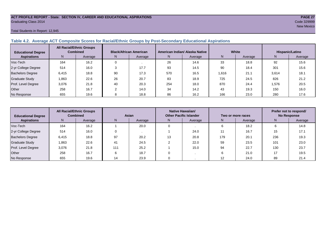#### **ACT PROFILE REPORT - State: SECTION IV, CAREER AND EDUCATIONAL ASPIRATIONS PAGE 27** Graduating Class 2014 Code 329999

#### Total Students in Report: 12,945

#### **Table 4.2. Average ACT Composite Scores for Racial/Ethnic Groups by Post-Secondary Educational Aspirations**

| <b>Educational Degree</b> | <b>All Racial/Ethnic Groups</b><br><b>Combined</b> |         | <b>Black/African American</b> |         |     | American Indian/ Alaska Native |       | White   | Hispanic/Latino |         |  |
|---------------------------|----------------------------------------------------|---------|-------------------------------|---------|-----|--------------------------------|-------|---------|-----------------|---------|--|
| <b>Aspirations</b>        | N.                                                 | Average | N                             | Average | N   | Average                        | N     | Average | N               | Average |  |
| Voc-Tech                  | 164                                                | 16.2    | 0                             |         | 26  | 14.6                           | 33    | 18.8    | 92              | 15.6    |  |
| 2-yr College Degree       | 514                                                | 16.0    |                               | 17.7    | 93  | 14.5                           | 90    | 18.4    | 301             | 15.6    |  |
| <b>Bachelors Degree</b>   | 6.415                                              | 18.8    | 90                            | 17.3    | 570 | 16.5                           | 1,616 | 21.1    | 3,614           | 18.1    |  |
| <b>Graduate Study</b>     | 1,863                                              | 22.6    | 26                            | 20.7    | 83  | 18.9                           | 725   | 24.5    | 826             | 21.2    |  |
| Prof. Level Degree        | 3,076                                              | 21.8    | 40                            | 20.3    | 254 | 18.0                           | 870   | 24.4    | 1,576           | 20.5    |  |
| Other                     | 258                                                | 16.7    | $\sim$                        | 14.0    | 34  | 14.2                           | 43    | 19.3    | 150             | 16.0    |  |
| No Response               | 655                                                | 19.6    |                               | 18.8    | 86  | 16.2                           | 166   | 23.0    | 280             | 17.6    |  |

| <b>Educational Degree</b> | <b>All Racial/Ethnic Groups</b><br><b>Combined</b> |         | Asian |         | <b>Native Hawaiian/</b><br><b>Other Pacific Islander</b> |         | Two or more races |         | Prefer not to respond/<br><b>No Response</b> |         |  |
|---------------------------|----------------------------------------------------|---------|-------|---------|----------------------------------------------------------|---------|-------------------|---------|----------------------------------------------|---------|--|
| <b>Aspirations</b>        | N                                                  | Average | N     | Average | N.                                                       | Average | N,                | Average | Ν                                            | Average |  |
| Voc-Tech                  | 164                                                | 16.2    |       | 20.0    |                                                          |         |                   | 18.2    |                                              | 14.8    |  |
| 2-yr College Degree       | 514                                                | 16.0    |       |         |                                                          | 24.0    |                   | 16.7    | 15                                           | 17.1    |  |
| <b>Bachelors Degree</b>   | 6,415                                              | 18.8    | 97    | 20.2    | 13                                                       | 20.8    | 179               | 20.1    | 236                                          | 19.3    |  |
| <b>Graduate Study</b>     | 1,863                                              | 22.6    | 41    | 24.5    |                                                          | 22.0    | 59                | 23.5    | 101                                          | 23.0    |  |
| Prof. Level Degree        | 3,076                                              | 21.8    | 111   | 25.2    |                                                          | 15.0    | 94                | 22.7    | 130                                          | 23.7    |  |
| Other                     | 258                                                | 16.7    |       | 18.7    |                                                          |         |                   | 21.0    | 17                                           | 19.5    |  |
| No Response               | 655                                                | 19.6    | 14    | 23.9    |                                                          |         | $12 \overline{ }$ | 24.0    | 89                                           | 21.4    |  |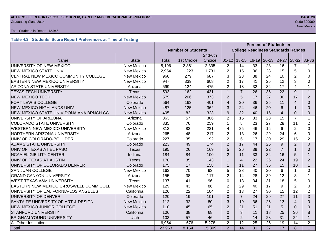#### **ACT PROFILE REPORT - State: SECTION IV, CAREER AND EDUCATIONAL ASPIRATIONS PAGE 28** Code 329999 Craduating Class 2014 Code 329999 Code 329999 Code 329999 Code 329999 Code 329999 Code 329999 Code 329999 Code 329999 Code 329999 Code 329999 Code 329999 Code 329999 Code 329999 Code 329999 Code 329999 Code 329

#### Total Students in Report: 12,945

#### **Table 4.3. Students' Score Report Preferences at Time of Testing**

|                                         |                   | <b>Percent of Students in</b> |                                           |         |                          |                |                 |                               |                |                |                |
|-----------------------------------------|-------------------|-------------------------------|-------------------------------------------|---------|--------------------------|----------------|-----------------|-------------------------------|----------------|----------------|----------------|
|                                         |                   | <b>Number of Students</b>     | <b>College Readiness Standards Ranges</b> |         |                          |                |                 |                               |                |                |                |
|                                         |                   |                               |                                           | 2nd-6th |                          |                |                 |                               |                |                |                |
| Name                                    | <b>State</b>      | Total                         | 1st Choice                                | Choice  | $01 - 12$                |                |                 | 13-15   16-19   20-23   24-27 |                | $28-32$ 33-36  |                |
| UNIVERSITY OF NEW MEXICO                | <b>New Mexico</b> | 5,196                         | 2,861                                     | 2,335   | $\overline{2}$           | 14             | 33              | 28                            | 16             | 7              |                |
| NEW MEXICO STATE UNIV                   | <b>New Mexico</b> | 2,954                         | 1,223                                     | 1,731   | $\overline{2}$           | 15             | 36              | 28                            | 15             | 5              | $\Omega$       |
| CENTRAL NEW MEXICO COMMUNITY COLLEGE    | <b>New Mexico</b> | 966                           | 279                                       | 687     | 3                        | 23             | 38              | 24                            | 10             | $\overline{2}$ | 0              |
| EASTERN NEW MEXICO UNIVERSITY           | <b>New Mexico</b> | 947                           | 339                                       | 608     | $\overline{2}$           | 17             | 41              | 25                            | 12             | 3              | 0              |
| ARIZONA STATE UNIVERSITY                | Arizona           | 599                           | 124                                       | 475     | $\overline{2}$           | 13             | 32              | 32                            | 17             | 4              | 1              |
| <b>TEXAS TECH UNIVERSITY</b>            | <b>Texas</b>      | 593                           | 162                                       | 431     | $\mathbf{1}$             | $\overline{7}$ | 26              | 35                            | 22             | 9              | $\mathbf{1}$   |
| <b>NEW MEXICO TECH</b>                  | <b>New Mexico</b> | 579                           | 206                                       | 373     | $\overline{2}$           | 5              | 17              | 27                            | 30             | 17             | $\overline{2}$ |
| <b>FORT LEWIS COLLEGE</b>               | Colorado          | 564                           | 163                                       | 401     | $\overline{\mathcal{A}}$ | 20             | 36              | 25                            | 11             | 4              | $\Omega$       |
| <b>NEW MEXICO HIGHLANDS UNIV</b>        | <b>New Mexico</b> | 487                           | 125                                       | 362     | 3                        | 24             | 46              | 20                            | 6              |                | 0              |
| NEW MEXICO STATE UNIV-DONA ANA BRNCH CC | <b>New Mexico</b> | 405                           | 82                                        | 323     | 9                        | 32             | 40              | 15                            | $\overline{4}$ | $\Omega$       | 0              |
| UNIVERSITY OF ARIZONA                   | Arizona           | 363                           | 57                                        | 306     | $\overline{2}$           | 15             | 33              | 28                            | 15             | $\overline{7}$ | $\mathbf{1}$   |
| <b>COLORADO STATE UNIVERSITY</b>        | Colorado          | 335                           | 76                                        | 259     | $\mathbf 1$              | 8              | 23              | 27                            | 28             | 11             | 2              |
| WESTERN NEW MEXICO UNIVERSITY           | <b>New Mexico</b> | 313                           | 82                                        | 231     | 4                        | 25             | 46              | 16                            | 6              | $\overline{2}$ | $\Omega$       |
| NORTHERN ARIZONA UNIVERSITY             | Arizona           | 265                           | 48                                        | 217     | $\overline{2}$           | 13             | 26              | 29                            | 24             | 6              | 0              |
| UNIV OF COLORADO-BOULDER                | Colorado          | 227                           | 35                                        | 192     | $\overline{2}$           | 6              | 17              | 30                            | 29             | 15             | $\overline{2}$ |
| <b>ADAMS STATE UNIVERSITY</b>           | Colorado          | 223                           | 49                                        | 174     | $\overline{2}$           | 17             | 44              | 25                            | 9              | $\overline{2}$ | $\overline{0}$ |
| UNIV OF TEXAS AT EL PASO                | Texas             | 195                           | 26                                        | 169     | 5                        | 26             | 39              | 22                            | $\overline{7}$ |                | $\Omega$       |
| <b>NCAA ELIGIBILITY CENTER</b>          | Indiana           | 184                           | 84                                        | 100     | $\overline{2}$           | 11             | 33              | 32                            | 16             | 5              |                |
| UNIV OF TEXAS AT AUSTIN                 | <b>Texas</b>      | 178                           | 35                                        | 143     | $\mathbf{1}$             | $\overline{4}$ | 22              | 26                            | 24             | 19             | 2              |
| UNIVERSITY OF COLORADO DENVER           | Colorado          | 175                           | 17                                        | 158     | $\mathbf{1}$             | 11             | 27              | 35                            | 15             | 10             | $\mathbf{1}$   |
| <b>SAN JUAN COLLEGE</b>                 | <b>New Mexico</b> | 163                           | 70                                        | 93      | 5                        | 28             | 40              | 20                            | 6              |                | 0              |
| <b>GRAND CANYON UNIVERSITY</b>          | Arizona           | 155                           | 38                                        | 117     | $\overline{2}$           | 14             | 28              | 39                            | 12             | 3              |                |
| <b>WEST TEXAS A&amp;M UNIVERSITY</b>    | Texas             | 137                           | 41                                        | 96      | 0                        | 13             | 34              | 31                            | 18             | 5              | 0              |
| EASTERN NEW MEXICO U-ROSWELL COMM COLL  | New Mexico        | 129                           | 43                                        | 86      | $\overline{2}$           | 29             | 40              | 17                            | 9              | $\overline{2}$ | 0              |
| UNIVERSITY OF CALIFORNIA-LOS ANGELES    | California        | 126                           | 22                                        | 104     | $\overline{2}$           | 13             | 27              | 30                            | 15             | 12             | $\overline{2}$ |
| UNIVERSITY OF DENVER                    | Colorado          | 120                           | 19                                        | 101     | $\Omega$                 | $\overline{7}$ | 24              | 29                            | 27             | 11             | 3              |
| SANTA FE UNIVERSITY OF ART & DESIGN     | <b>New Mexico</b> | 112                           | 32                                        | 80      | 3                        | 19             | 36              | 26                            | 13             | 4              | $\Omega$       |
| <b>NEW MEXICO JUNIOR COLLEGE</b>        | <b>New Mexico</b> | 110                           | 45                                        | 65      | $\overline{2}$           | 21             | 51              | 21                            | 5              | $\Omega$       | $\Omega$       |
| <b>STANFORD UNIVERSITY</b>              | California        | 106                           | 38                                        | 68      | $\Omega$                 | 3              | 11              | 18                            | 25             | 36             | 8              |
| <b>BRIGHAM YOUNG UNIVERSITY</b>         | Utah              | 103                           | 57                                        | 46      | $\Omega$                 | $\overline{2}$ | 14              | 28                            | 31             | 24             | $\mathbf{1}$   |
| All Other Institutions                  |                   | 6,954                         | 1,676                                     | 5,278   | $\overline{2}$           | 12             | 25              | 25                            | 19             | 14             | $\overline{2}$ |
| Total                                   |                   | 23,963                        | 8,154                                     | 15,809  | 2                        | 14             | $\overline{31}$ | 27                            | 17             | 8              | $\mathbf{1}$   |

new Mexico and the contract of the contract of the contract of the contract of the contract of the contract of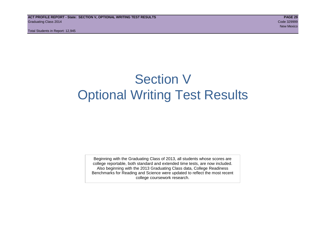Total Students in Report: 12,945

# Section V Optional Writing Test Results

Beginning with the Graduating Class of 2013, all students whose scores are college reportable, both standard and extended time tests, are now included. Also beginning with the 2013 Graduating Class data, College Readiness Benchmarks for Reading and Science were updated to reflect the most recent college coursework research.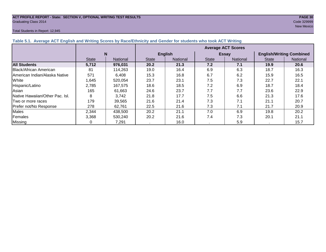#### **ACT PROFILE REPORT - State: SECTION V, OPTIONAL WRITING TEST RESULTS PAGE 30** Graduating Class 2014 Code 329999

#### Total Students in Report: 12,945

New Mexico and the contract of the contract of the contract of the contract of the contract of the contract of

| Table 5.1. Average ACT English and Writing Scores by Race/Ethnicity and Gender for students who took ACT Writing |              |                 |                           |                 |              |                 |                                 |          |  |  |  |
|------------------------------------------------------------------------------------------------------------------|--------------|-----------------|---------------------------|-----------------|--------------|-----------------|---------------------------------|----------|--|--|--|
|                                                                                                                  |              |                 | <b>Average ACT Scores</b> |                 |              |                 |                                 |          |  |  |  |
|                                                                                                                  | N            |                 | <b>English</b>            |                 |              | <b>Essay</b>    | <b>English/Writing Combined</b> |          |  |  |  |
|                                                                                                                  | <b>State</b> | <b>National</b> | <b>State</b>              | <b>National</b> | <b>State</b> | <b>National</b> | <b>State</b>                    | National |  |  |  |
| <b>All Students</b>                                                                                              | 5,712        | 976,031         | 20.2                      | 21.3            | 7.2          | 7.1             | 19.9                            | 20.6     |  |  |  |
| Black/African American                                                                                           | 81           | 114,263         | 19.0                      | 16.4            | 6.9          | 6.3             | 18.7                            | 16.3     |  |  |  |
| American Indian/Alaska Native                                                                                    | 571          | 6,408           | 15.3                      | 16.8            | 6.7          | 6.2             | 15.9                            | 16.5     |  |  |  |
| White                                                                                                            | 1,645        | 520,054         | 23.7                      | 23.1            | 7.5          | 7.3             | 22.7                            | 22.1     |  |  |  |
| Hispanic/Latino                                                                                                  | 2,785        | 167.575         | 18.6                      | 18.5            | 7.2          | 6.9             | 18.7                            | 18.4     |  |  |  |
| Asian                                                                                                            | 165          | 61,663          | 24.6                      | 23.7            | 7.7          | 7.7             | 23.6                            | 22.9     |  |  |  |
| Native Hawaiian/Other Pac. Isl.                                                                                  | 8            | 3,742           | 21.8                      | 17.7            | 7.5          | 6.6             | 21.3                            | 17.6     |  |  |  |
| Two or more races                                                                                                | 179          | 39,565          | 21.6                      | 21.4            | 7.3          | 7.1             | 21.1                            | 20.7     |  |  |  |
| Prefer not/No Response                                                                                           | 278          | 62,761          | 22.5                      | 21.6            | 7.3          | 7.1             | 21.7                            | 20.9     |  |  |  |
| Males                                                                                                            | 2,344        | 438,500         | 20.2                      | 21.1            | 7.0          | 6.9             | 19.8                            | 20.2     |  |  |  |
| Females                                                                                                          | 3,368        | 530.240         | 20.2                      | 21.6            | 7.4          | 7.3             | 20.1                            | 21.1     |  |  |  |
| <b>Missing</b>                                                                                                   |              | 7,291           |                           | 16.0            |              | 5.9             |                                 | 15.7     |  |  |  |